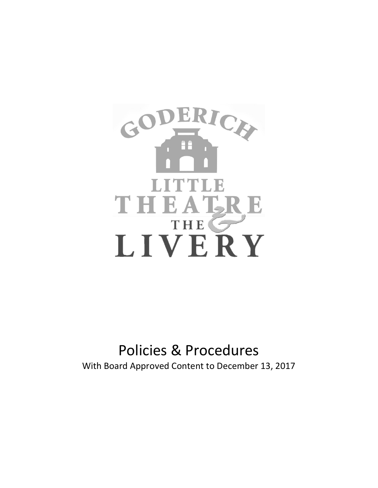

# Policies & Procedures With Board Approved Content to December 13, 2017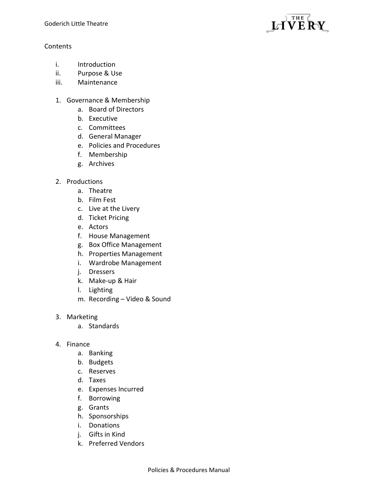# Contents

- i. Introduction
- ii. Purpose & Use
- iii. Maintenance
- 1. Governance & Membership
	- a. Board of Directors
	- b. Executive
	- c. Committees
	- d. General Manager
	- e. Policies and Procedures
	- f. Membership
	- g. Archives
- 2. Productions
	- a. Theatre
	- b. Film Fest
	- c. Live at the Livery
	- d. Ticket Pricing
	- e. Actors
	- f. House Management
	- g. Box Office Management
	- h. Properties Management
	- i. Wardrobe Management
	- j. Dressers
	- k. Make-up & Hair
	- l. Lighting
	- m. Recording Video & Sound
- 3. Marketing
	- a. Standards
- 4. Finance
	- a. Banking
	- b. Budgets
	- c. Reserves
	- d. Taxes
	- e. Expenses Incurred
	- f. Borrowing
	- g. Grants
	- h. Sponsorships
	- i. Donations
	- j. Gifts in Kind
	- k. Preferred Vendors

THE LIVERY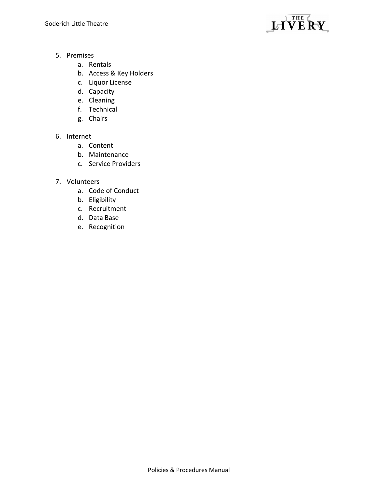

- 5. Premises
	- a. Rentals
	- b. Access & Key Holders
	- c. Liquor License
	- d. Capacity
	- e. Cleaning
	- f. Technical
	- g. Chairs

# 6. Internet

- a. Content
- b. Maintenance
- c. Service Providers
- 7. Volunteers
	- a. Code of Conduct
	- b. Eligibility
	- c. Recruitment
	- d. Data Base
	- e. Recognition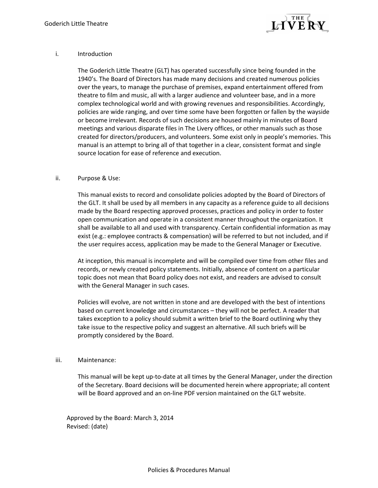

#### i. Introduction

The Goderich Little Theatre (GLT) has operated successfully since being founded in the 1940's. The Board of Directors has made many decisions and created numerous policies over the years, to manage the purchase of premises, expand entertainment offered from theatre to film and music, all with a larger audience and volunteer base, and in a more complex technological world and with growing revenues and responsibilities. Accordingly, policies are wide ranging, and over time some have been forgotten or fallen by the wayside or become irrelevant. Records of such decisions are housed mainly in minutes of Board meetings and various disparate files in The Livery offices, or other manuals such as those created for directors/producers, and volunteers. Some exist only in people's memories. This manual is an attempt to bring all of that together in a clear, consistent format and single source location for ease of reference and execution.

#### ii. Purpose & Use:

This manual exists to record and consolidate policies adopted by the Board of Directors of the GLT. It shall be used by all members in any capacity as a reference guide to all decisions made by the Board respecting approved processes, practices and policy in order to foster open communication and operate in a consistent manner throughout the organization. It shall be available to all and used with transparency. Certain confidential information as may exist (e.g.: employee contracts & compensation) will be referred to but not included, and if the user requires access, application may be made to the General Manager or Executive.

At inception, this manual is incomplete and will be compiled over time from other files and records, or newly created policy statements. Initially, absence of content on a particular topic does not mean that Board policy does not exist, and readers are advised to consult with the General Manager in such cases.

Policies will evolve, are not written in stone and are developed with the best of intentions based on current knowledge and circumstances – they will not be perfect. A reader that takes exception to a policy should submit a written brief to the Board outlining why they take issue to the respective policy and suggest an alternative. All such briefs will be promptly considered by the Board.

#### iii. Maintenance:

This manual will be kept up-to-date at all times by the General Manager, under the direction of the Secretary. Board decisions will be documented herein where appropriate; all content will be Board approved and an on-line PDF version maintained on the GLT website.

Approved by the Board: March 3, 2014 Revised: (date)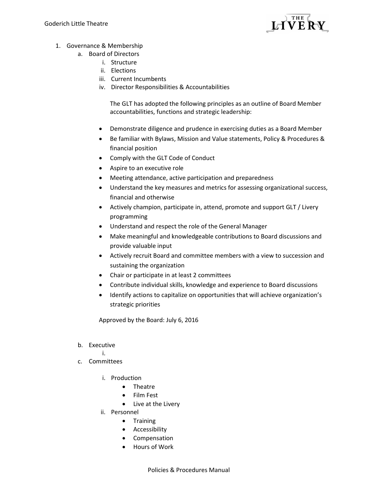

- 1. Governance & Membership
	- a. Board of Directors
		- i. Structure
		- ii. Elections
		- iii. Current Incumbents
		- iv. Director Responsibilities & Accountabilities

The GLT has adopted the following principles as an outline of Board Member accountabilities, functions and strategic leadership:

- Demonstrate diligence and prudence in exercising duties as a Board Member
- Be familiar with Bylaws, Mission and Value statements, Policy & Procedures & financial position
- Comply with the GLT Code of Conduct
- Aspire to an executive role
- Meeting attendance, active participation and preparedness
- Understand the key measures and metrics for assessing organizational success, financial and otherwise
- Actively champion, participate in, attend, promote and support GLT / Livery programming
- Understand and respect the role of the General Manager
- Make meaningful and knowledgeable contributions to Board discussions and provide valuable input
- Actively recruit Board and committee members with a view to succession and sustaining the organization
- Chair or participate in at least 2 committees
- Contribute individual skills, knowledge and experience to Board discussions
- Identify actions to capitalize on opportunities that will achieve organization's strategic priorities

Approved by the Board: July 6, 2016

# b. Executive

- i.
- c. Committees
	- i. Production
		- Theatre
		- Film Fest
		- Live at the Livery
	- ii. Personnel
		- Training
		- **•** Accessibility
		- Compensation
		- Hours of Work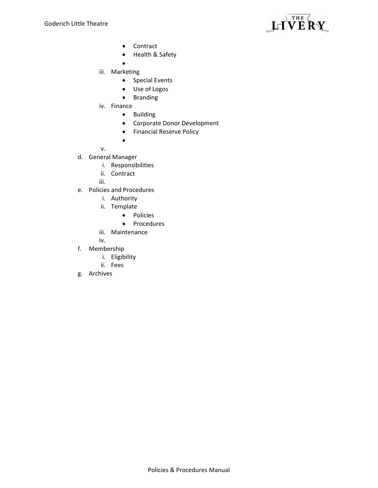

- Contract
- Health & Safety
- $\bullet$
- iii. Marketing
	- Special Events
	- Use of Logos
	- **•** Branding
- iv. Finance
	- **•** Building
	- Corporate Donor Development
	- **•** Financial Reserve Policy

v.

- d. General Manager
	- i. Responsibilities

 $\bullet$ 

- ii. Contract
- iii.
- e. Policies and Procedures
	- i. Authority
	- ii. Template
		- Policies
		- Procedures
	- iii. Maintenance
	- iv.
- f. Membership
	- i. Eligibility
	- ii. Fees
- g. Archives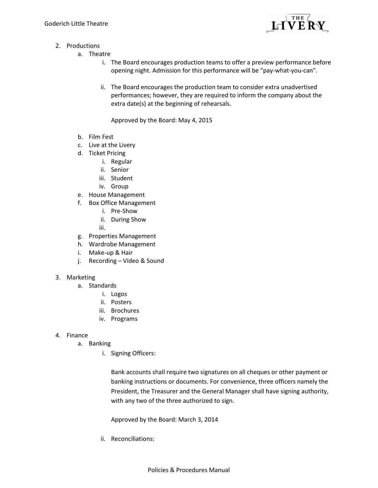

- 2. Productions
	- a. Theatre
		- i. The Board encourages production teams to offer a preview performance before opening night. Admission for this performance will be "pay-what-you-can".
		- ii. The Board encourages the production team to consider extra unadvertised performances; however, they are required to inform the company about the extra date(s) at the beginning of rehearsals.

Approved by the Board: May 4, 2015

- b. Film Fest
- c. Live at the Livery
- d. Ticket Pricing
	- i. Regular
	- ii. Senior
	- iii. Student
	- iv. Group
- e. House Management
- f. Box Office Management
	- i. Pre-Show
	- ii. During Show
	- iii.
- g. Properties Management
- h. Wardrobe Management
- i. Make-up & Hair
- j. Recording Video & Sound

## 3. Marketing

- a. Standards
	- i. Logos
	- ii. Posters
	- iii. Brochures
	- iv. Programs

## 4. Finance

- a. Banking
	- i. Signing Officers:

Bank accounts shall require two signatures on all cheques or other payment or banking instructions or documents. For convenience, three officers namely the President, the Treasurer and the General Manager shall have signing authority, with any two of the three authorized to sign.

Approved by the Board: March 3, 2014

ii. Reconciliations: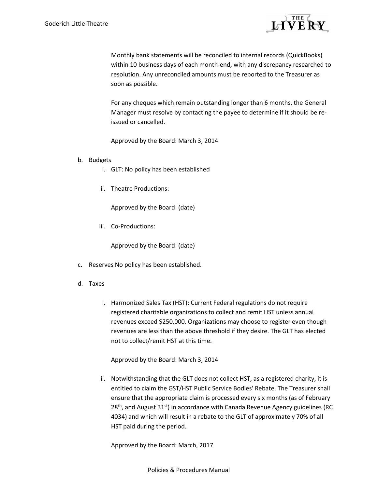

Monthly bank statements will be reconciled to internal records (QuickBooks) within 10 business days of each month-end, with any discrepancy researched to resolution. Any unreconciled amounts must be reported to the Treasurer as soon as possible.

For any cheques which remain outstanding longer than 6 months, the General Manager must resolve by contacting the payee to determine if it should be reissued or cancelled.

Approved by the Board: March 3, 2014

## b. Budgets

- i. GLT: No policy has been established
- ii. Theatre Productions:

Approved by the Board: (date)

iii. Co-Productions:

Approved by the Board: (date)

- c. Reserves No policy has been established.
- d. Taxes
	- i. Harmonized Sales Tax (HST): Current Federal regulations do not require registered charitable organizations to collect and remit HST unless annual revenues exceed \$250,000. Organizations may choose to register even though revenues are less than the above threshold if they desire. The GLT has elected not to collect/remit HST at this time.

Approved by the Board: March 3, 2014

ii. Notwithstanding that the GLT does not collect HST, as a registered charity, it is entitled to claim the GST/HST Public Service Bodies' Rebate. The Treasurer shall ensure that the appropriate claim is processed every six months (as of February 28<sup>th</sup>, and August 31<sup>st</sup>) in accordance with Canada Revenue Agency guidelines (RC 4034) and which will result in a rebate to the GLT of approximately 70% of all HST paid during the period.

Approved by the Board: March, 2017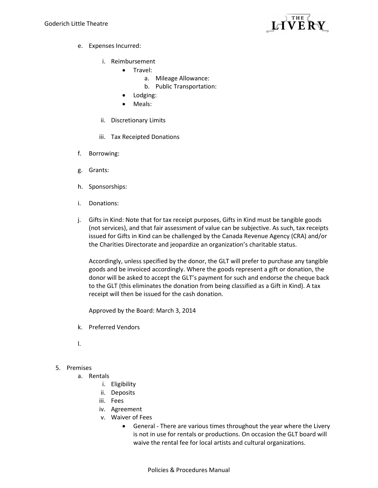

- e. Expenses Incurred:
	- i. Reimbursement
		- Travel:
			- a. Mileage Allowance:
			- b. Public Transportation:
		- Lodging:
		- Meals:
	- ii. Discretionary Limits
	- iii. Tax Receipted Donations
- f. Borrowing:
- g. Grants:
- h. Sponsorships:
- i. Donations:
- j. Gifts in Kind: Note that for tax receipt purposes, Gifts in Kind must be tangible goods (not services), and that fair assessment of value can be subjective. As such, tax receipts issued for Gifts in Kind can be challenged by the Canada Revenue Agency (CRA) and/or the Charities Directorate and jeopardize an organization's charitable status.

Accordingly, unless specified by the donor, the GLT will prefer to purchase any tangible goods and be invoiced accordingly. Where the goods represent a gift or donation, the donor will be asked to accept the GLT's payment for such and endorse the cheque back to the GLT (this eliminates the donation from being classified as a Gift in Kind). A tax receipt will then be issued for the cash donation.

Approved by the Board: March 3, 2014

- k. Preferred Vendors
- l.

# 5. Premises

- a. Rentals
	- i. Eligibility
	- ii. Deposits
	- iii. Fees
	- iv. Agreement
	- v. Waiver of Fees
		- General There are various times throughout the year where the Livery is not in use for rentals or productions. On occasion the GLT board will waive the rental fee for local artists and cultural organizations.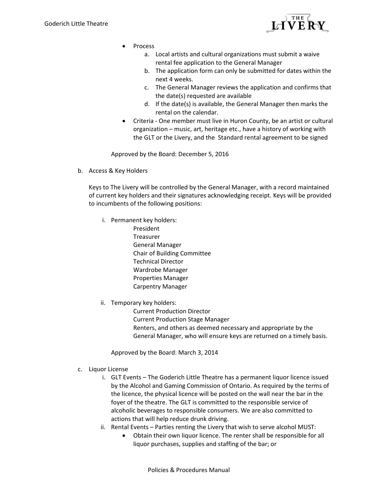

- Process
	- a. Local artists and cultural organizations must submit a waive rental fee application to the General Manager
	- b. The application form can only be submitted for dates within the next 4 weeks.
	- c. The General Manager reviews the application and confirms that the date(s) requested are available
	- d. If the date(s) is available, the General Manager then marks the rental on the calendar.
- Criteria One member must live in Huron County, be an artist or cultural organization – music, art, heritage etc., have a history of working with the GLT or the Livery, and the Standard rental agreement to be signed

Approved by the Board: December 5, 2016

b. Access & Key Holders

Keys to The Livery will be controlled by the General Manager, with a record maintained of current key holders and their signatures acknowledging receipt. Keys will be provided to incumbents of the following positions:

- i. Permanent key holders:
	- President Treasurer General Manager Chair of Building Committee Technical Director Wardrobe Manager Properties Manager Carpentry Manager
- ii. Temporary key holders:

 Current Production Director Current Production Stage Manager Renters, and others as deemed necessary and appropriate by the General Manager, who will ensure keys are returned on a timely basis.

Approved by the Board: March 3, 2014

- c. Liquor License
	- i. GLT Events The Goderich Little Theatre has a permanent liquor licence issued by the Alcohol and Gaming Commission of Ontario. As required by the terms of the licence, the physical licence will be posted on the wall near the bar in the foyer of the theatre. The GLT is committed to the responsible service of alcoholic beverages to responsible consumers. We are also committed to actions that will help reduce drunk driving.
	- ii. Rental Events Parties renting the Livery that wish to serve alcohol MUST:
		- Obtain their own liquor licence. The renter shall be responsible for all liquor purchases, supplies and staffing of the bar; or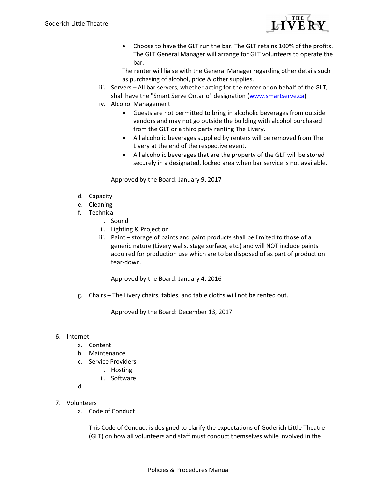

• Choose to have the GLT run the bar. The GLT retains 100% of the profits. The GLT General Manager will arrange for GLT volunteers to operate the bar.

The renter will liaise with the General Manager regarding other details such as purchasing of alcohol, price & other supplies.

- iii. Servers All bar servers, whether acting for the renter or on behalf of the GLT, shall have the "Smart Serve Ontario" designation (www.smartserve.ca)
- iv. Alcohol Management
	- Guests are not permitted to bring in alcoholic beverages from outside vendors and may not go outside the building with alcohol purchased from the GLT or a third party renting The Livery.
	- All alcoholic beverages supplied by renters will be removed from The Livery at the end of the respective event.
	- All alcoholic beverages that are the property of the GLT will be stored securely in a designated, locked area when bar service is not available.

Approved by the Board: January 9, 2017

- d. Capacity
- e. Cleaning
- f. Technical
	- i. Sound
		- ii. Lighting & Projection
	- iii. Paint storage of paints and paint products shall be limited to those of a generic nature (Livery walls, stage surface, etc.) and will NOT include paints acquired for production use which are to be disposed of as part of production tear-down.

Approved by the Board: January 4, 2016

g. Chairs – The Livery chairs, tables, and table cloths will not be rented out.

Approved by the Board: December 13, 2017

## 6. Internet

- a. Content
- b. Maintenance
- c. Service Providers
	- i. Hosting
	- ii. Software

d.

- 7. Volunteers
	- a. Code of Conduct

This Code of Conduct is designed to clarify the expectations of Goderich Little Theatre (GLT) on how all volunteers and staff must conduct themselves while involved in the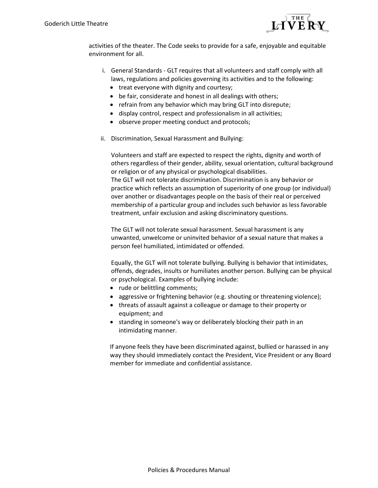

activities of the theater. The Code seeks to provide for a safe, enjoyable and equitable environment for all.

- i. General Standards GLT requires that all volunteers and staff comply with all laws, regulations and policies governing its activities and to the following:
	- treat everyone with dignity and courtesy;
	- be fair, considerate and honest in all dealings with others;
	- refrain from any behavior which may bring GLT into disrepute;
	- display control, respect and professionalism in all activities;
	- observe proper meeting conduct and protocols;
- ii. Discrimination, Sexual Harassment and Bullying:

Volunteers and staff are expected to respect the rights, dignity and worth of others regardless of their gender, ability, sexual orientation, cultural background or religion or of any physical or psychological disabilities. The GLT will not tolerate discrimination. Discrimination is any behavior or practice which reflects an assumption of superiority of one group (or individual) over another or disadvantages people on the basis of their real or perceived membership of a particular group and includes such behavior as less favorable treatment, unfair exclusion and asking discriminatory questions.

The GLT will not tolerate sexual harassment. Sexual harassment is any unwanted, unwelcome or uninvited behavior of a sexual nature that makes a person feel humiliated, intimidated or offended.

Equally, the GLT will not tolerate bullying. Bullying is behavior that intimidates, offends, degrades, insults or humiliates another person. Bullying can be physical or psychological. Examples of bullying include:

- rude or belittling comments;
- aggressive or frightening behavior (e.g. shouting or threatening violence);
- threats of assault against a colleague or damage to their property or equipment; and
- standing in someone's way or deliberately blocking their path in an intimidating manner.

If anyone feels they have been discriminated against, bullied or harassed in any way they should immediately contact the President, Vice President or any Board member for immediate and confidential assistance.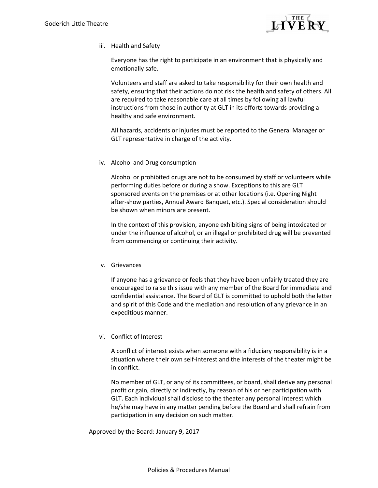

iii. Health and Safety

Everyone has the right to participate in an environment that is physically and emotionally safe.

Volunteers and staff are asked to take responsibility for their own health and safety, ensuring that their actions do not risk the health and safety of others. All are required to take reasonable care at all times by following all lawful instructions from those in authority at GLT in its efforts towards providing a healthy and safe environment.

All hazards, accidents or injuries must be reported to the General Manager or GLT representative in charge of the activity.

iv. Alcohol and Drug consumption

Alcohol or prohibited drugs are not to be consumed by staff or volunteers while performing duties before or during a show. Exceptions to this are GLT sponsored events on the premises or at other locations (i.e. Opening Night after-show parties, Annual Award Banquet, etc.). Special consideration should be shown when minors are present.

In the context of this provision, anyone exhibiting signs of being intoxicated or under the influence of alcohol, or an illegal or prohibited drug will be prevented from commencing or continuing their activity.

#### v. Grievances

If anyone has a grievance or feels that they have been unfairly treated they are encouraged to raise this issue with any member of the Board for immediate and confidential assistance. The Board of GLT is committed to uphold both the letter and spirit of this Code and the mediation and resolution of any grievance in an expeditious manner.

## vi. Conflict of Interest

A conflict of interest exists when someone with a fiduciary responsibility is in a situation where their own self-interest and the interests of the theater might be in conflict.

No member of GLT, or any of its committees, or board, shall derive any personal profit or gain, directly or indirectly, by reason of his or her participation with GLT. Each individual shall disclose to the theater any personal interest which he/she may have in any matter pending before the Board and shall refrain from participation in any decision on such matter.

Approved by the Board: January 9, 2017